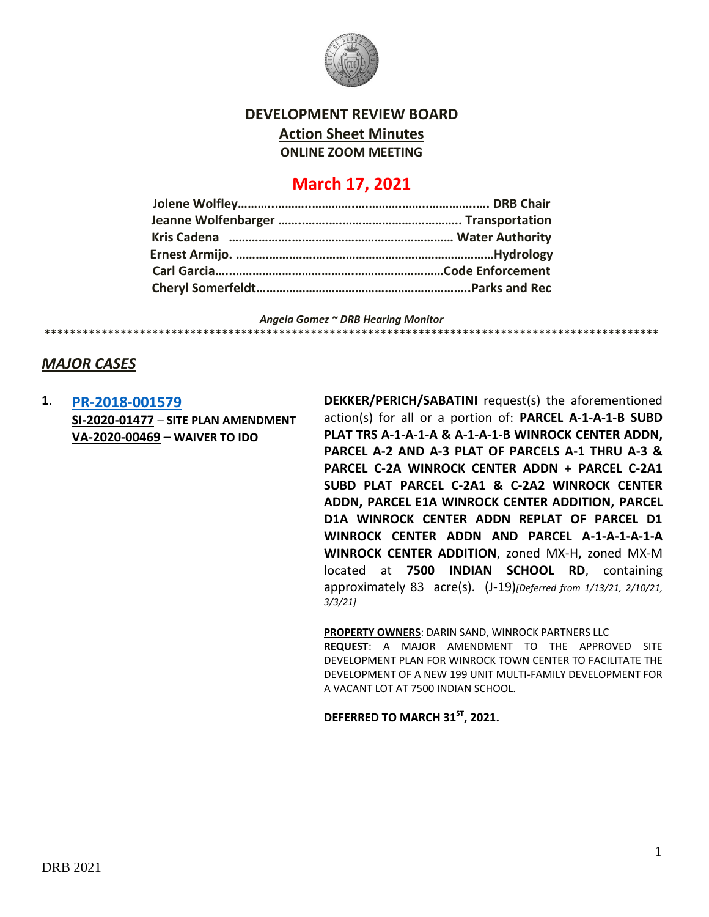

## **DEVELOPMENT REVIEW BOARD**

**Action Sheet Minutes**

**ONLINE ZOOM MEETING**

# **March 17, 2021**

*Angela Gomez ~ DRB Hearing Monitor* \*\*\*\*\*\*\*\*\*\*\*\*\*\*\*\*\*\*\*\*\*\*\*\*\*\*\*\*\*\*\*\*\*\*\*\*\*\*\*\*\*\*\*\*\*\*\*\*\*\*\*\*\*\*\*\*\*\*\*\*\*\*\*\*\*\*\*\*\*\*\*\*\*\*\*\*\*\*\*\*\*\*\*\*\*\*\*\*\*\*\*\*\*\*\*\*\*

## *MAJOR CASES*

**1**. **[PR-2018-001579](http://data.cabq.gov/government/planning/DRB/PR-2018-001579/DRB%20Submittals/) SI-2020-01477** – **SITE PLAN AMENDMENT VA-2020-00469 – WAIVER TO IDO**

**DEKKER/PERICH/SABATINI** request(s) the aforementioned action(s) for all or a portion of: **PARCEL A-1-A-1-B SUBD PLAT TRS A-1-A-1-A & A-1-A-1-B WINROCK CENTER ADDN, PARCEL A-2 AND A-3 PLAT OF PARCELS A-1 THRU A-3 & PARCEL C-2A WINROCK CENTER ADDN + PARCEL C-2A1 SUBD PLAT PARCEL C-2A1 & C-2A2 WINROCK CENTER ADDN, PARCEL E1A WINROCK CENTER ADDITION, PARCEL D1A WINROCK CENTER ADDN REPLAT OF PARCEL D1 WINROCK CENTER ADDN AND PARCEL A-1-A-1-A-1-A WINROCK CENTER ADDITION**, zoned MX-H**,** zoned MX-M located at **7500 INDIAN SCHOOL RD**, containing approximately 83 acre(s). (J-19)*[Deferred from 1/13/21, 2/10/21, 3/3/21]*

**PROPERTY OWNERS**: DARIN SAND, WINROCK PARTNERS LLC **REQUEST**: A MAJOR AMENDMENT TO THE APPROVED SITE DEVELOPMENT PLAN FOR WINROCK TOWN CENTER TO FACILITATE THE DEVELOPMENT OF A NEW 199 UNIT MULTI-FAMILY DEVELOPMENT FOR A VACANT LOT AT 7500 INDIAN SCHOOL.

**DEFERRED TO MARCH 31ST, 2021.**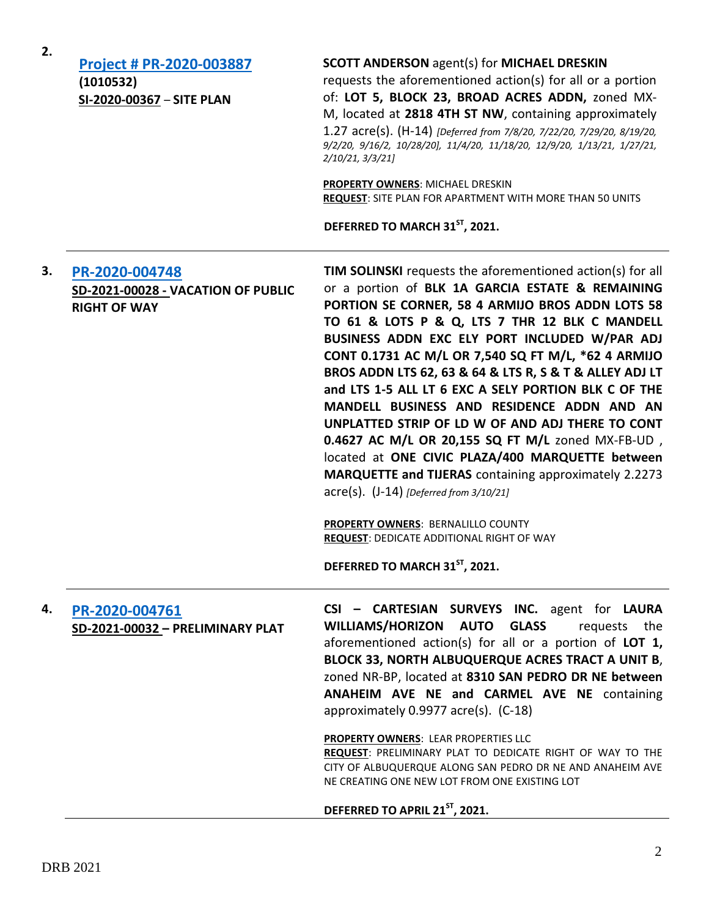| 2. | Project # PR-2020-003887<br>(1010532)<br>SI-2020-00367 - SITE PLAN          | <b>SCOTT ANDERSON agent(s) for MICHAEL DRESKIN</b><br>requests the aforementioned action(s) for all or a portion<br>of: LOT 5, BLOCK 23, BROAD ACRES ADDN, zoned MX-<br>M, located at 2818 4TH ST NW, containing approximately<br>1.27 acre(s). (H-14) [Deferred from 7/8/20, 7/22/20, 7/29/20, 8/19/20,<br>9/2/20, 9/16/2, 10/28/20], 11/4/20, 11/18/20, 12/9/20, 1/13/21, 1/27/21,<br>2/10/21, 3/3/21]<br><b>PROPERTY OWNERS: MICHAEL DRESKIN</b><br><b>REQUEST:</b> SITE PLAN FOR APARTMENT WITH MORE THAN 50 UNITS<br>DEFERRED TO MARCH 31 <sup>ST</sup> , 2021.                                                                                                                                                                                                                                                                                                             |
|----|-----------------------------------------------------------------------------|----------------------------------------------------------------------------------------------------------------------------------------------------------------------------------------------------------------------------------------------------------------------------------------------------------------------------------------------------------------------------------------------------------------------------------------------------------------------------------------------------------------------------------------------------------------------------------------------------------------------------------------------------------------------------------------------------------------------------------------------------------------------------------------------------------------------------------------------------------------------------------|
| 3. | PR-2020-004748<br>SD-2021-00028 - VACATION OF PUBLIC<br><b>RIGHT OF WAY</b> | <b>TIM SOLINSKI</b> requests the aforementioned action(s) for all<br>or a portion of BLK 1A GARCIA ESTATE & REMAINING<br>PORTION SE CORNER, 58 4 ARMIJO BROS ADDN LOTS 58<br>TO 61 & LOTS P & Q, LTS 7 THR 12 BLK C MANDELL<br>BUSINESS ADDN EXC ELY PORT INCLUDED W/PAR ADJ<br>CONT 0.1731 AC M/L OR 7,540 SQ FT M/L, *62 4 ARMIJO<br>BROS ADDN LTS 62, 63 & 64 & LTS R, S & T & ALLEY ADJ LT<br>and LTS 1-5 ALL LT 6 EXC A SELY PORTION BLK C OF THE<br>MANDELL BUSINESS AND RESIDENCE ADDN AND AN<br>UNPLATTED STRIP OF LD W OF AND ADJ THERE TO CONT<br>0.4627 AC M/L OR 20,155 SQ FT M/L zoned MX-FB-UD,<br>located at ONE CIVIC PLAZA/400 MARQUETTE between<br>MARQUETTE and TIJERAS containing approximately 2.2273<br>$\text{acre}(s)$ . (J-14) [Deferred from 3/10/21]<br><b>PROPERTY OWNERS: BERNALILLO COUNTY</b><br><b>REQUEST: DEDICATE ADDITIONAL RIGHT OF WAY</b> |
|    |                                                                             | DEFERRED TO MARCH 31ST, 2021.                                                                                                                                                                                                                                                                                                                                                                                                                                                                                                                                                                                                                                                                                                                                                                                                                                                    |
| 4. | PR-2020-004761<br>SD-2021-00032 - PRELIMINARY PLAT                          | CSI - CARTESIAN SURVEYS INC. agent for LAURA<br>WILLIAMS/HORIZON AUTO<br><b>GLASS</b><br>requests the<br>aforementioned action(s) for all or a portion of LOT 1,<br>BLOCK 33, NORTH ALBUQUERQUE ACRES TRACT A UNIT B,<br>zoned NR-BP, located at 8310 SAN PEDRO DR NE between<br>ANAHEIM AVE NE and CARMEL AVE NE containing<br>approximately 0.9977 acre(s). (C-18)<br>PROPERTY OWNERS: LEAR PROPERTIES LLC<br>REQUEST: PRELIMINARY PLAT TO DEDICATE RIGHT OF WAY TO THE<br>CITY OF ALBUQUERQUE ALONG SAN PEDRO DR NE AND ANAHEIM AVE<br>NE CREATING ONE NEW LOT FROM ONE EXISTING LOT                                                                                                                                                                                                                                                                                          |
|    |                                                                             | DEFERRED TO APRIL 21 <sup>ST</sup> , 2021.                                                                                                                                                                                                                                                                                                                                                                                                                                                                                                                                                                                                                                                                                                                                                                                                                                       |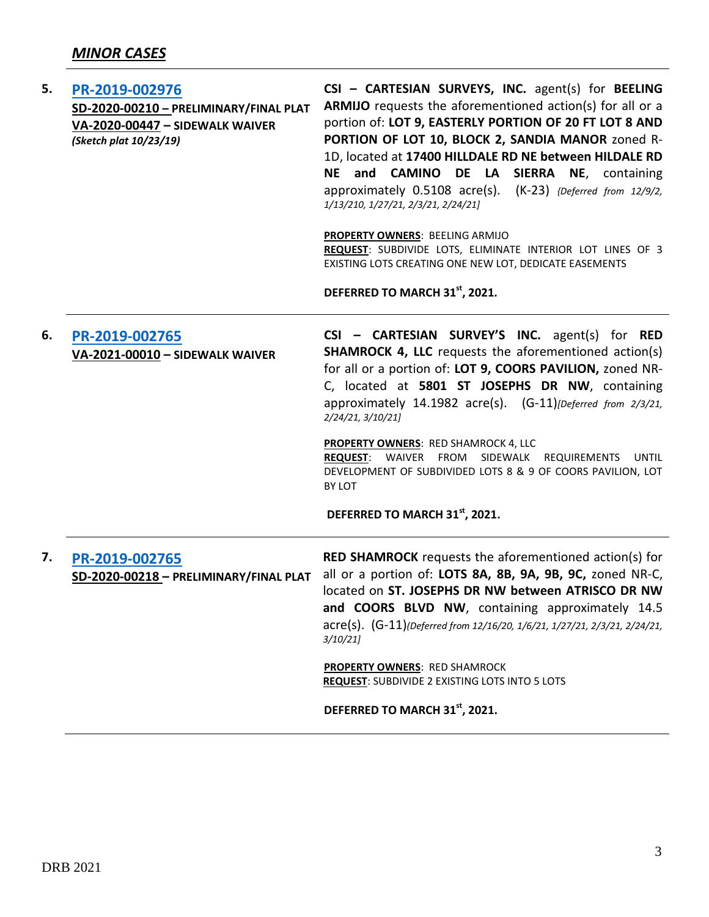| 5. | PR-2019-002976<br>SD-2020-00210 - PRELIMINARY/FINAL PLAT<br>VA-2020-00447 - SIDEWALK WAIVER<br>(Sketch plat 10/23/19) | CSI - CARTESIAN SURVEYS, INC. agent(s) for BEELING<br>ARMIJO requests the aforementioned action(s) for all or a<br>portion of: LOT 9, EASTERLY PORTION OF 20 FT LOT 8 AND<br>PORTION OF LOT 10, BLOCK 2, SANDIA MANOR zoned R-<br>1D, located at 17400 HILLDALE RD NE between HILDALE RD<br><b>CAMINO</b><br><b>NE</b><br>and<br>DE LA SIERRA NE, containing<br>approximately 0.5108 acre(s). (K-23) {Deferred from 12/9/2,<br>1/13/210, 1/27/21, 2/3/21, 2/24/21]<br>PROPERTY OWNERS: BEELING ARMIJO<br>REQUEST: SUBDIVIDE LOTS, ELIMINATE INTERIOR LOT LINES OF 3<br>EXISTING LOTS CREATING ONE NEW LOT, DEDICATE EASEMENTS<br>DEFERRED TO MARCH 31st, 2021. |
|----|-----------------------------------------------------------------------------------------------------------------------|----------------------------------------------------------------------------------------------------------------------------------------------------------------------------------------------------------------------------------------------------------------------------------------------------------------------------------------------------------------------------------------------------------------------------------------------------------------------------------------------------------------------------------------------------------------------------------------------------------------------------------------------------------------|
| 6. | PR-2019-002765<br>VA-2021-00010 - SIDEWALK WAIVER                                                                     | CSI - CARTESIAN SURVEY'S INC. agent(s) for RED<br><b>SHAMROCK 4, LLC</b> requests the aforementioned action(s)<br>for all or a portion of: LOT 9, COORS PAVILION, zoned NR-<br>C, located at 5801 ST JOSEPHS DR NW, containing<br>approximately 14.1982 acre(s). (G-11) [Deferred from 2/3/21,<br>2/24/21, 3/10/21]<br>PROPERTY OWNERS: RED SHAMROCK 4, LLC<br>SIDEWALK<br><b>REQUEST:</b><br>WAIVER<br>FROM<br><b>REQUIREMENTS</b><br><b>UNTIL</b><br>DEVELOPMENT OF SUBDIVIDED LOTS 8 & 9 OF COORS PAVILION, LOT<br><b>BY LOT</b><br>DEFERRED TO MARCH 31 <sup>st</sup> , 2021.                                                                              |
| 7. | PR-2019-002765<br>SD-2020-00218 - PRELIMINARY/FINAL PLAT                                                              | <b>RED SHAMROCK</b> requests the aforementioned action(s) for<br>all or a portion of: LOTS 8A, 8B, 9A, 9B, 9C, zoned NR-C,<br>located on ST. JOSEPHS DR NW between ATRISCO DR NW<br>and COORS BLVD NW, containing approximately 14.5<br>acre(s). (G-11)(Deferred from 12/16/20, 1/6/21, 1/27/21, 2/3/21, 2/24/21,<br>3/10/21<br><b>PROPERTY OWNERS: RED SHAMROCK</b><br><b>REQUEST:</b> SUBDIVIDE 2 EXISTING LOTS INTO 5 LOTS<br>DEFERRED TO MARCH 31 <sup>st</sup> , 2021.                                                                                                                                                                                    |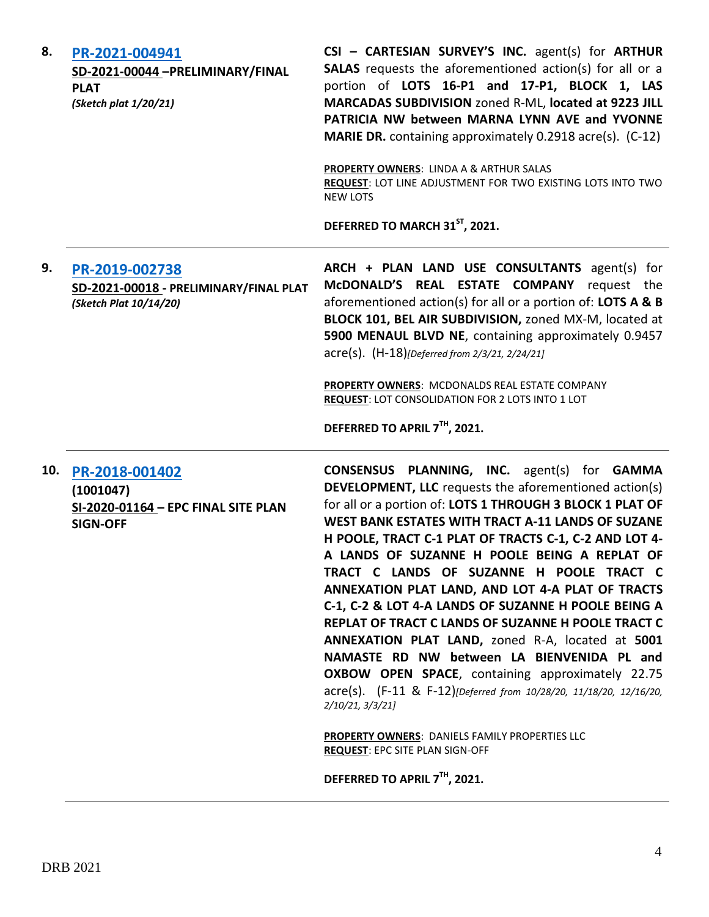| 8.  | PR-2021-004941<br>SD-2021-00044 -PRELIMINARY/FINAL<br><b>PLAT</b><br>(Sketch plat 1/20/21) | CSI - CARTESIAN SURVEY'S INC. agent(s) for ARTHUR<br><b>SALAS</b> requests the aforementioned action(s) for all or a<br>portion of LOTS 16-P1 and 17-P1, BLOCK 1, LAS<br>MARCADAS SUBDIVISION zoned R-ML, located at 9223 JILL<br>PATRICIA NW between MARNA LYNN AVE and YVONNE<br><b>MARIE DR.</b> containing approximately 0.2918 acre(s). (C-12)<br>PROPERTY OWNERS: LINDA A & ARTHUR SALAS |
|-----|--------------------------------------------------------------------------------------------|------------------------------------------------------------------------------------------------------------------------------------------------------------------------------------------------------------------------------------------------------------------------------------------------------------------------------------------------------------------------------------------------|
|     |                                                                                            | REQUEST: LOT LINE ADJUSTMENT FOR TWO EXISTING LOTS INTO TWO<br><b>NEW LOTS</b><br>DEFERRED TO MARCH 31 <sup>ST</sup> , 2021.                                                                                                                                                                                                                                                                   |
| 9.  | PR-2019-002738<br>SD-2021-00018 - PRELIMINARY/FINAL PLAT<br>(Sketch Plat 10/14/20)         | ARCH + PLAN LAND USE CONSULTANTS agent(s) for<br>McDONALD'S REAL ESTATE COMPANY request the<br>aforementioned action(s) for all or a portion of: LOTS A & B<br>BLOCK 101, BEL AIR SUBDIVISION, zoned MX-M, located at<br>5900 MENAUL BLVD NE, containing approximately 0.9457<br>acre(s). (H-18)[Deferred from 2/3/21, 2/24/21]                                                                |
|     |                                                                                            | <b>PROPERTY OWNERS: MCDONALDS REAL ESTATE COMPANY</b><br><b>REQUEST: LOT CONSOLIDATION FOR 2 LOTS INTO 1 LOT</b>                                                                                                                                                                                                                                                                               |
|     |                                                                                            | DEFERRED TO APRIL 7TH, 2021.                                                                                                                                                                                                                                                                                                                                                                   |
| 10. | PR-2018-001402                                                                             | CONSENSUS PLANNING, INC. agent(s) for GAMMA                                                                                                                                                                                                                                                                                                                                                    |
|     | (1001047)                                                                                  | <b>DEVELOPMENT, LLC</b> requests the aforementioned action(s)                                                                                                                                                                                                                                                                                                                                  |
|     | SI-2020-01164 - EPC FINAL SITE PLAN<br><b>SIGN-OFF</b>                                     | for all or a portion of: LOTS 1 THROUGH 3 BLOCK 1 PLAT OF<br><b>WEST BANK ESTATES WITH TRACT A-11 LANDS OF SUZANE</b>                                                                                                                                                                                                                                                                          |
|     |                                                                                            | H POOLE, TRACT C-1 PLAT OF TRACTS C-1, C-2 AND LOT 4-                                                                                                                                                                                                                                                                                                                                          |
|     |                                                                                            | A LANDS OF SUZANNE H POOLE BEING A REPLAT OF                                                                                                                                                                                                                                                                                                                                                   |
|     |                                                                                            | TRACT C LANDS OF SUZANNE H POOLE TRACT C<br>ANNEXATION PLAT LAND, AND LOT 4-A PLAT OF TRACTS                                                                                                                                                                                                                                                                                                   |
|     |                                                                                            | C-1, C-2 & LOT 4-A LANDS OF SUZANNE H POOLE BEING A                                                                                                                                                                                                                                                                                                                                            |
|     |                                                                                            | REPLAT OF TRACT C LANDS OF SUZANNE H POOLE TRACT C                                                                                                                                                                                                                                                                                                                                             |
|     |                                                                                            | ANNEXATION PLAT LAND, zoned R-A, located at 5001                                                                                                                                                                                                                                                                                                                                               |
|     |                                                                                            | NAMASTE RD NW between LA BIENVENIDA PL and<br>OXBOW OPEN SPACE, containing approximately 22.75                                                                                                                                                                                                                                                                                                 |
|     |                                                                                            | acre(s). (F-11 & F-12)[Deferred from 10/28/20, 11/18/20, 12/16/20,<br>2/10/21, 3/3/21                                                                                                                                                                                                                                                                                                          |
|     |                                                                                            |                                                                                                                                                                                                                                                                                                                                                                                                |
|     |                                                                                            | <b>PROPERTY OWNERS: DANIELS FAMILY PROPERTIES LLC</b><br><b>REQUEST: EPC SITE PLAN SIGN-OFF</b>                                                                                                                                                                                                                                                                                                |